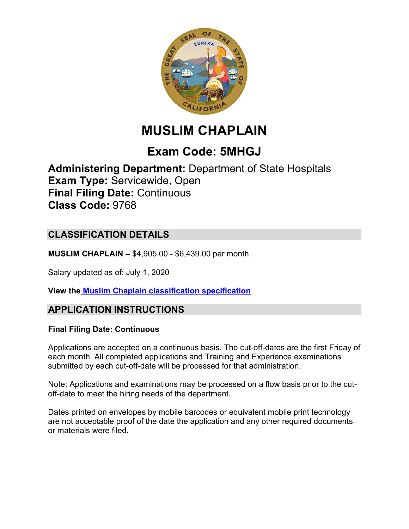

# **MUSLIM CHAPLAIN**

## **Exam Code: 5MHGJ**

**Administering Department:** Department of State Hospitals **Exam Type:** Servicewide, Open **Final Filing Date:** Continuous **Class Code:** 9768

## **CLASSIFICATION DETAILS**

**MUSLIM CHAPLAIN –** \$4,905.00 - \$6,439.00 per month.

Salary updated as of: July 1, 2020

**View the Muslim Chaplain [classification specification](https://www.calhr.ca.gov/state-hr-professionals/Pages/9768.aspx)**

## **APPLICATION INSTRUCTIONS**

#### **Final Filing Date: Continuous**

Applications are accepted on a continuous basis. The cut-off-dates are the first Friday of each month. All completed applications and Training and Experience examinations submitted by each cut-off-date will be processed for that administration.

Note: Applications and examinations may be processed on a flow basis prior to the cutoff-date to meet the hiring needs of the department.

Dates printed on envelopes by mobile barcodes or equivalent mobile print technology are not acceptable proof of the date the application and any other required documents or materials were filed.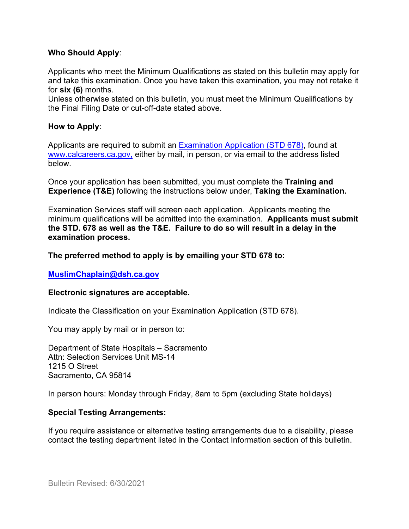#### **Who Should Apply**:

Applicants who meet the Minimum Qualifications as stated on this bulletin may apply for and take this examination. Once you have taken this examination, you may not retake it for **six (6)** months.

Unless otherwise stated on this bulletin, you must meet the Minimum Qualifications by the Final Filing Date or cut-off-date stated above.

#### **How to Apply**:

Applicants are required to submit a[n Examination Application \(STD 678\),](https://jobs.ca.gov/pdf/std678.pdf) found at [www.calcareers.ca.gov,](http://www.calcareers.ca.gov/) either by mail, in person, or via email to the address listed below.

Once your application has been submitted, you must complete the **Training and Experience (T&E)** following the instructions below under, **Taking the Examination.**

Examination Services staff will screen each application. Applicants meeting the minimum qualifications will be admitted into the examination. **Applicants must submit the STD. 678 as well as the T&E. Failure to do so will result in a delay in the examination process.**

#### **The preferred method to apply is by emailing your STD 678 to:**

**[MuslimChaplain@dsh.ca.gov](mailto:MuslimChaplain@dsh.ca.gov)**

#### **Electronic signatures are acceptable.**

Indicate the Classification on your Examination Application (STD 678).

You may apply by mail or in person to:

Department of State Hospitals – Sacramento Attn: Selection Services Unit MS-14 1215 O Street Sacramento, CA 95814

In person hours: Monday through Friday, 8am to 5pm (excluding State holidays)

#### **Special Testing Arrangements:**

If you require assistance or alternative testing arrangements due to a disability, please contact the testing department listed in the Contact Information section of this bulletin.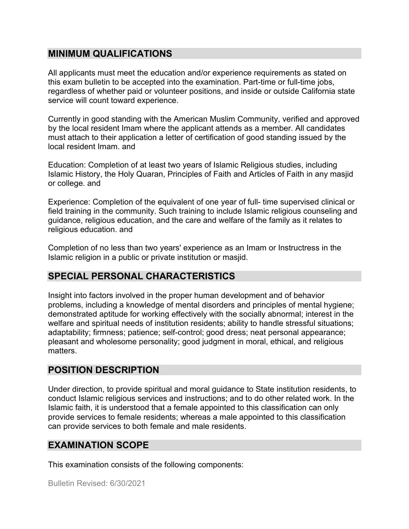## **MINIMUM QUALIFICATIONS**

All applicants must meet the education and/or experience requirements as stated on this exam bulletin to be accepted into the examination. Part-time or full-time jobs, regardless of whether paid or volunteer positions, and inside or outside California state service will count toward experience.

Currently in good standing with the American Muslim Community, verified and approved by the local resident Imam where the applicant attends as a member. All candidates must attach to their application a letter of certification of good standing issued by the local resident Imam. and

Education: Completion of at least two years of Islamic Religious studies, including Islamic History, the Holy Quaran, Principles of Faith and Articles of Faith in any masjid or college. and

Experience: Completion of the equivalent of one year of full- time supervised clinical or field training in the community. Such training to include Islamic religious counseling and guidance, religious education, and the care and welfare of the family as it relates to religious education. and

Completion of no less than two years' experience as an Imam or Instructress in the Islamic religion in a public or private institution or masjid.

## **SPECIAL PERSONAL CHARACTERISTICS**

Insight into factors involved in the proper human development and of behavior problems, including a knowledge of mental disorders and principles of mental hygiene; demonstrated aptitude for working effectively with the socially abnormal; interest in the welfare and spiritual needs of institution residents; ability to handle stressful situations; adaptability; firmness; patience; self-control; good dress; neat personal appearance; pleasant and wholesome personality; good judgment in moral, ethical, and religious matters.

## **POSITION DESCRIPTION**

Under direction, to provide spiritual and moral guidance to State institution residents, to conduct Islamic religious services and instructions; and to do other related work. In the Islamic faith, it is understood that a female appointed to this classification can only provide services to female residents; whereas a male appointed to this classification can provide services to both female and male residents.

## **EXAMINATION SCOPE**

This examination consists of the following components: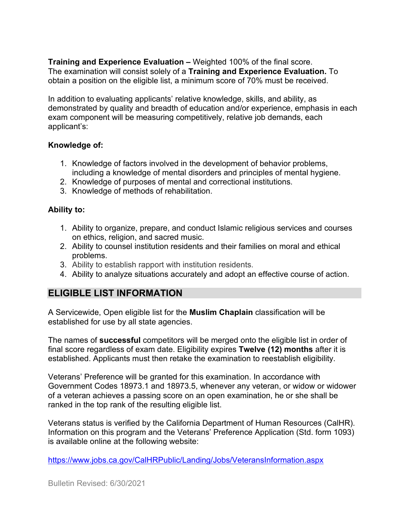**Training and Experience Evaluation –** Weighted 100% of the final score. The examination will consist solely of a **Training and Experience Evaluation.** To obtain a position on the eligible list, a minimum score of 70% must be received.

In addition to evaluating applicants' relative knowledge, skills, and ability, as demonstrated by quality and breadth of education and/or experience, emphasis in each exam component will be measuring competitively, relative job demands, each applicant's:

#### **Knowledge of:**

- 1. Knowledge of factors involved in the development of behavior problems, including a knowledge of mental disorders and principles of mental hygiene.
- 2. Knowledge of purposes of mental and correctional institutions.
- 3. Knowledge of methods of rehabilitation.

#### **Ability to:**

- 1. Ability to organize, prepare, and conduct Islamic religious services and courses on ethics, religion, and sacred music.
- 2. Ability to counsel institution residents and their families on moral and ethical problems.
- 3. Ability to establish rapport with institution residents.
- 4. Ability to analyze situations accurately and adopt an effective course of action.

## **ELIGIBLE LIST INFORMATION**

A Servicewide, Open eligible list for the **Muslim Chaplain** classification will be established for use by all state agencies.

The names of **successful** competitors will be merged onto the eligible list in order of final score regardless of exam date. Eligibility expires **Twelve (12) months** after it is established. Applicants must then retake the examination to reestablish eligibility.

Veterans' Preference will be granted for this examination. In accordance with Government Codes 18973.1 and 18973.5, whenever any veteran, or widow or widower of a veteran achieves a passing score on an open examination, he or she shall be ranked in the top rank of the resulting eligible list.

Veterans status is verified by the California Department of Human Resources (CalHR). Information on this program and the Veterans' Preference Application (Std. form 1093) is available online at the following website:

<https://www.jobs.ca.gov/CalHRPublic/Landing/Jobs/VeteransInformation.aspx>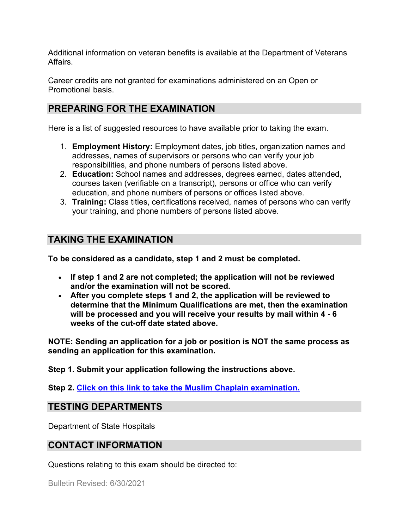Additional information on veteran benefits is available at the Department of Veterans Affairs.

Career credits are not granted for examinations administered on an Open or Promotional basis.

## **PREPARING FOR THE EXAMINATION**

Here is a list of suggested resources to have available prior to taking the exam.

- 1. **Employment History:** Employment dates, job titles, organization names and addresses, names of supervisors or persons who can verify your job responsibilities, and phone numbers of persons listed above.
- 2. **Education:** School names and addresses, degrees earned, dates attended, courses taken (verifiable on a transcript), persons or office who can verify education, and phone numbers of persons or offices listed above.
- 3. **Training:** Class titles, certifications received, names of persons who can verify your training, and phone numbers of persons listed above.

## **TAKING THE EXAMINATION**

**To be considered as a candidate, step 1 and 2 must be completed.**

- **If step 1 and 2 are not completed; the application will not be reviewed and/or the examination will not be scored.**
- **After you complete steps 1 and 2, the application will be reviewed to determine that the Minimum Qualifications are met, then the examination will be processed and you will receive your results by mail within 4 - 6 weeks of the cut-off date stated above.**

**NOTE: Sending an application for a job or position is NOT the same process as sending an application for this examination.**

**Step 1. Submit your application following the instructions above.**

**Step 2. [Click on this link to take the Muslim Chaplain](https://www.surveymonkey.com/r/GBQW78M) examination.**

#### **TESTING DEPARTMENTS**

Department of State Hospitals

#### **CONTACT INFORMATION**

Questions relating to this exam should be directed to: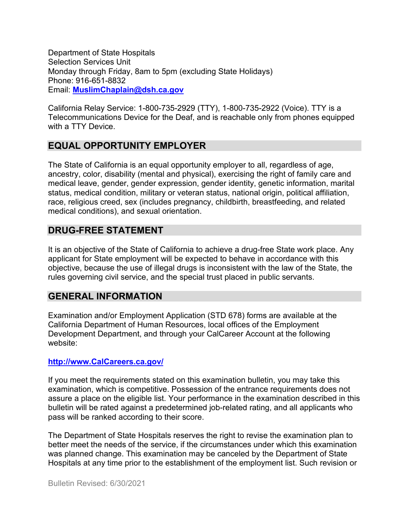Department of State Hospitals Selection Services Unit Monday through Friday, 8am to 5pm (excluding State Holidays) Phone: 916-651-8832 Email: **[MuslimChaplain@dsh.ca.gov](mailto:MuslimChaplain@dsh.ca.gov)**

California Relay Service: 1-800-735-2929 (TTY), 1-800-735-2922 (Voice). TTY is a Telecommunications Device for the Deaf, and is reachable only from phones equipped with a TTY Device.

## **EQUAL OPPORTUNITY EMPLOYER**

The State of California is an equal opportunity employer to all, regardless of age, ancestry, color, disability (mental and physical), exercising the right of family care and medical leave, gender, gender expression, gender identity, genetic information, marital status, medical condition, military or veteran status, national origin, political affiliation, race, religious creed, sex (includes pregnancy, childbirth, breastfeeding, and related medical conditions), and sexual orientation.

## **DRUG-FREE STATEMENT**

It is an objective of the State of California to achieve a drug-free State work place. Any applicant for State employment will be expected to behave in accordance with this objective, because the use of illegal drugs is inconsistent with the law of the State, the rules governing civil service, and the special trust placed in public servants.

## **GENERAL INFORMATION**

Examination and/or Employment Application (STD 678) forms are available at the California Department of Human Resources, local offices of the Employment Development Department, and through your CalCareer Account at the following website:

#### **http://www.CalCareers.ca.gov/**

If you meet the requirements stated on this examination bulletin, you may take this examination, which is competitive. Possession of the entrance requirements does not assure a place on the eligible list. Your performance in the examination described in this bulletin will be rated against a predetermined job-related rating, and all applicants who pass will be ranked according to their score.

The Department of State Hospitals reserves the right to revise the examination plan to better meet the needs of the service, if the circumstances under which this examination was planned change. This examination may be canceled by the Department of State Hospitals at any time prior to the establishment of the employment list. Such revision or